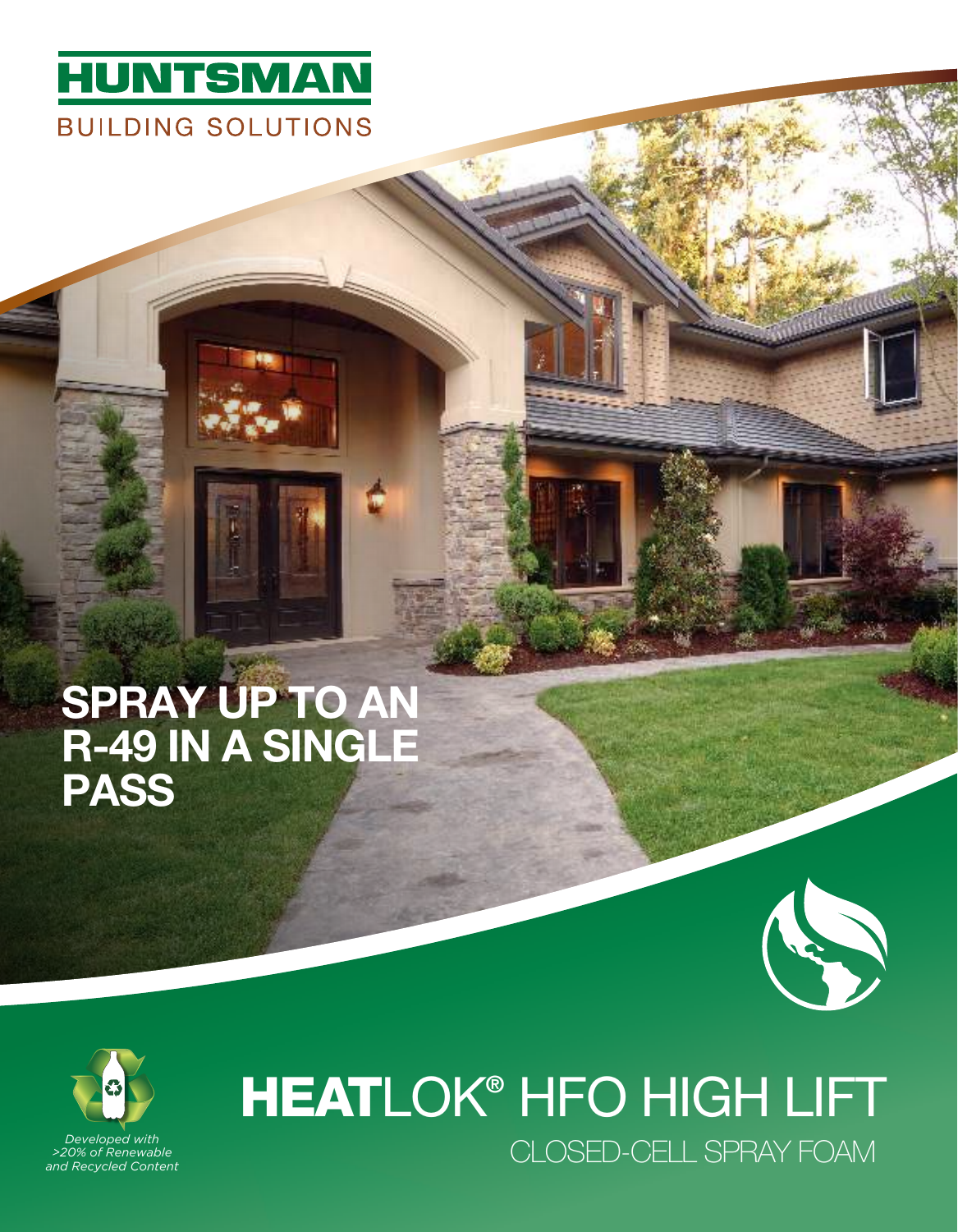

## SPRAY UP TO AN R-49 IN A SINGLE **PASS**





*>20% of Renewable and Recycled Content*

# CLOSED-CELL SPRAY FOAM *Developed with*  HEATLOK® HFO HIGH LIFT